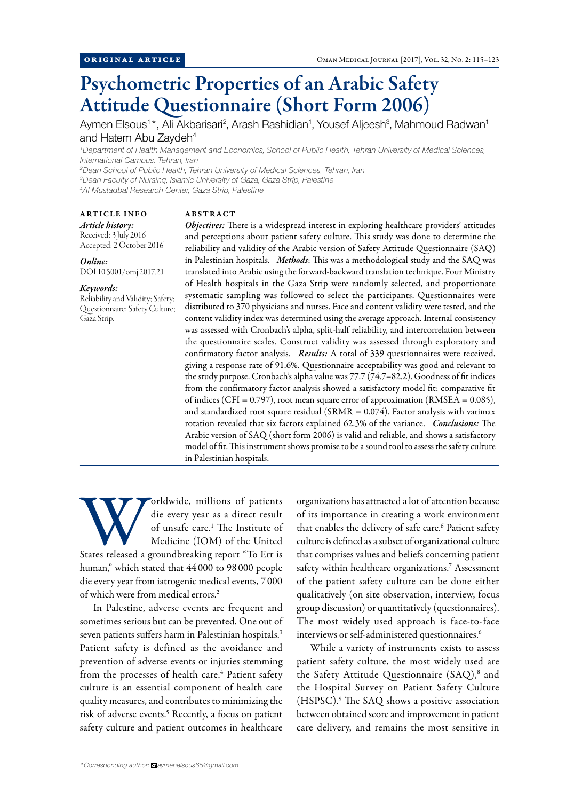# Psychometric Properties of an Arabic Safety Attitude Questionnaire (Short Form 2006)

Aymen Elsous<sup>1\*</sup>, Ali Akbarisari<sup>2</sup>, Arash Rashidian<sup>1</sup>, Yousef Aljeesh<sup>3</sup>, Mahmoud Radwan<sup>1</sup> and Hatem Abu Zaydeh<sup>4</sup>

*1 Department of Health Management and Economics, School of Public Health, Tehran University of Medical Sciences, International Campus, Tehran, Iran*

*2 Dean School of Public Health, Tehran University of Medical Sciences, Tehran, Iran*

*3 Dean Faculty of Nursing, Islamic University of Gaza, Gaza Strip, Palestine*

ABSTRACT

*4 Al Mustaqbal Research Center, Gaza Strip, Palestine*

# ARTICLE INFO

*Article history:* Received: 3 July 2016 Accepted: 2 October 2016

*Online:* DOI 10.5001/omj.2017.21

## *Keywords:*

Reliability and Validity; Safety; Questionnaire; Safety Culture; Gaza Strip.

*Objectives:* There is a widespread interest in exploring healthcare providers' attitudes and perceptions about patient safety culture. This study was done to determine the reliability and validity of the Arabic version of Safety Attitude Questionnaire (SAQ) in Palestinian hospitals. *Methods*: This was a methodological study and the SAQ was translated into Arabic using the forward-backward translation technique. Four Ministry of Health hospitals in the Gaza Strip were randomly selected, and proportionate systematic sampling was followed to select the participants. Questionnaires were distributed to 370 physicians and nurses. Face and content validity were tested, and the content validity index was determined using the average approach. Internal consistency was assessed with Cronbach's alpha, split-half reliability, and intercorrelation between the questionnaire scales. Construct validity was assessed through exploratory and confirmatory factor analysis. *Results:* A total of 339 questionnaires were received, giving a response rate of 91.6%. Questionnaire acceptability was good and relevant to the study purpose. Cronbach's alpha value was 77.7 (74.7–82.2). Goodness of fit indices from the confirmatory factor analysis showed a satisfactory model fit: comparative fit of indices (CFI = 0.797), root mean square error of approximation (RMSEA = 0.085), and standardized root square residual ( $SRMR = 0.074$ ). Factor analysis with varimax rotation revealed that six factors explained 62.3% of the variance. *Conclusions:* The Arabic version of SAQ (short form 2006) is valid and reliable, and shows a satisfactory model of fit. This instrument shows promise to be a sound tool to assess the safety culture in Palestinian hospitals.

Worldwide, millions of patients<br>
die every year as a direct result<br>
of unsafe care.<sup>1</sup> The Institute of<br>
Medicine (IOM) of the United<br>
States released a groundbreaking report "To Err is die every year as a direct result of unsafe care.<sup>1</sup> The Institute of Medicine (IOM) of the United human," which stated that 44 000 to 98 000 people die every year from iatrogenic medical events, 7 000 of which were from medical errors.2

In Palestine, adverse events are frequent and sometimes serious but can be prevented. One out of seven patients suffers harm in Palestinian hospitals.<sup>3</sup> Patient safety is defined as the avoidance and prevention of adverse events or injuries stemming from the processes of health care.<sup>4</sup> Patient safety culture is an essential component of health care quality measures, and contributes to minimizing the risk of adverse events.<sup>5</sup> Recently, a focus on patient safety culture and patient outcomes in healthcare

organizations has attracted a lot of attention because of its importance in creating a work environment that enables the delivery of safe care.<sup>6</sup> Patient safety culture is defined as a subset of organizational culture that comprises values and beliefs concerning patient safety within healthcare organizations.<sup>7</sup> Assessment of the patient safety culture can be done either qualitatively (on site observation, interview, focus group discussion) or quantitatively (questionnaires). The most widely used approach is face-to-face interviews or self-administered questionnaires.<sup>6</sup>

While a variety of instruments exists to assess patient safety culture, the most widely used are the Safety Attitude Questionnaire (SAQ),<sup>8</sup> and the Hospital Survey on Patient Safety Culture (HSPSC).9 The SAQ shows a positive association between obtained score and improvement in patient care delivery, and remains the most sensitive in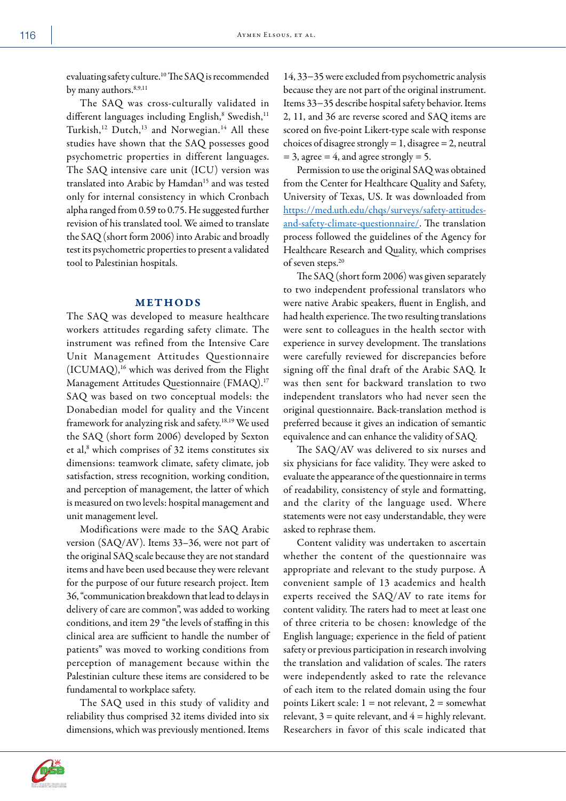evaluating safety culture.<sup>10</sup> The SAQ is recommended by many authors.<sup>8,9,11</sup>

The SAQ was cross-culturally validated in different languages including English,<sup>8</sup> Swedish,<sup>11</sup> Turkish,<sup>12</sup> Dutch,<sup>13</sup> and Norwegian.<sup>14</sup> All these studies have shown that the SAQ possesses good psychometric properties in different languages. The SAQ intensive care unit (ICU) version was translated into Arabic by Hamdan<sup>15</sup> and was tested only for internal consistency in which Cronbach alpha ranged from 0.59 to 0.75. He suggested further revision of his translated tool. We aimed to translate the SAQ (short form 2006) into Arabic and broadly test its psychometric properties to present a validated tool to Palestinian hospitals.

## METHODS

The SAQ was developed to measure healthcare workers attitudes regarding safety climate. The instrument was refined from the Intensive Care Unit Management Attitudes Questionnaire  $(ICUMAQ)<sup>16</sup>$  which was derived from the Flight Management Attitudes Questionnaire (FMAQ).17 SAQ was based on two conceptual models: the Donabedian model for quality and the Vincent framework for analyzing risk and safety.18,19 We used the SAQ (short form 2006) developed by Sexton et al,<sup>8</sup> which comprises of 32 items constitutes six dimensions: teamwork climate, safety climate, job satisfaction, stress recognition, working condition, and perception of management, the latter of which is measured on two levels: hospital management and unit management level.

Modifications were made to the SAQ Arabic version (SAQ/AV). Items 33–36, were not part of the original SAQ scale because they are not standard items and have been used because they were relevant for the purpose of our future research project. Item 36, "communication breakdown that lead to delays in delivery of care are common", was added to working conditions, and item 29 "the levels of staffing in this clinical area are sufficient to handle the number of patients" was moved to working conditions from perception of management because within the Palestinian culture these items are considered to be fundamental to workplace safety.

The SAQ used in this study of validity and reliability thus comprised 32 items divided into six dimensions, which was previously mentioned. Items 14, 33−35 were excluded from psychometric analysis because they are not part of the original instrument. Items 33−35 describe hospital safety behavior. Items 2, 11, and 36 are reverse scored and SAQ items are scored on five-point Likert-type scale with response choices of disagree strongly =  $1$ , disagree =  $2$ , neutral  $= 3$ , agree  $= 4$ , and agree strongly  $= 5$ .

Permission to use the original SAQ was obtained from the Center for Healthcare Quality and Safety, University of Texas, US. It was downloaded from https://med.uth.edu/chqs/surveys/safety-attitudesand-safety-climate-questionnaire/. The translation process followed the guidelines of the Agency for Healthcare Research and Quality, which comprises of seven steps.<sup>20</sup>

The SAQ (short form 2006) was given separately to two independent professional translators who were native Arabic speakers, fluent in English, and had health experience. The two resulting translations were sent to colleagues in the health sector with experience in survey development. The translations were carefully reviewed for discrepancies before signing off the final draft of the Arabic SAQ. It was then sent for backward translation to two independent translators who had never seen the original questionnaire. Back-translation method is preferred because it gives an indication of semantic equivalence and can enhance the validity of SAQ.

The SAQ/AV was delivered to six nurses and six physicians for face validity. They were asked to evaluate the appearance of the questionnaire in terms of readability, consistency of style and formatting, and the clarity of the language used. Where statements were not easy understandable, they were asked to rephrase them.

Content validity was undertaken to ascertain whether the content of the questionnaire was appropriate and relevant to the study purpose. A convenient sample of 13 academics and health experts received the SAQ/AV to rate items for content validity. The raters had to meet at least one of three criteria to be chosen: knowledge of the English language; experience in the field of patient safety or previous participation in research involving the translation and validation of scales. The raters were independently asked to rate the relevance of each item to the related domain using the four points Likert scale:  $1 = not$  relevant,  $2 =$  somewhat relevant,  $3$  = quite relevant, and  $4$  = highly relevant. Researchers in favor of this scale indicated that

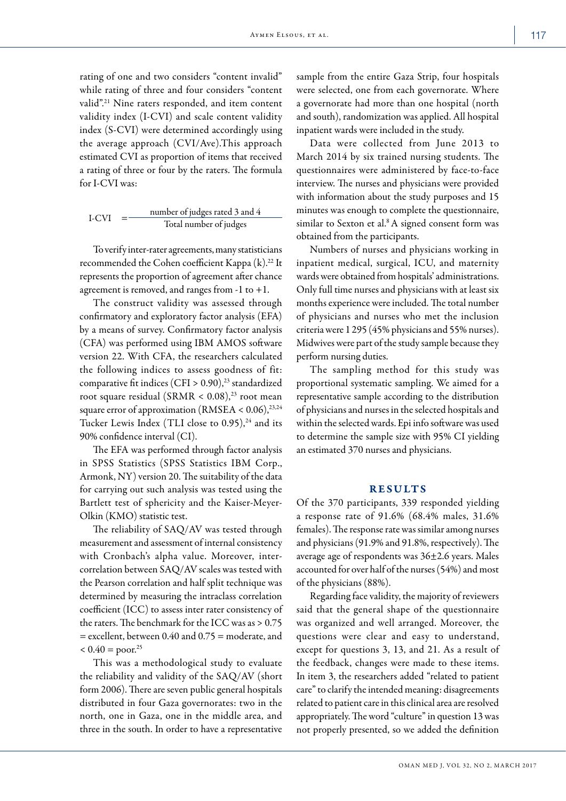rating of one and two considers "content invalid" while rating of three and four considers "content valid".21 Nine raters responded, and item content validity index (I-CVI) and scale content validity index (S-CVI) were determined accordingly using the average approach (CVI/Ave).This approach estimated CVI as proportion of items that received a rating of three or four by the raters. The formula for I-CVI was:

$$
I-CVI = \frac{\text{number of judges rated 3 and 4}}{\text{Total number of judges}}
$$

To verify inter-rater agreements, many statisticians recommended the Cohen coefficient Kappa (k).22 It represents the proportion of agreement after chance agreement is removed, and ranges from  $-1$  to  $+1$ .

The construct validity was assessed through confirmatory and exploratory factor analysis (EFA) by a means of survey. Confirmatory factor analysis (CFA) was performed using IBM AMOS software version 22. With CFA, the researchers calculated the following indices to assess goodness of fit: comparative fit indices (CFI > 0.90),<sup>23</sup> standardized root square residual (SRMR <  $0.08$ ),<sup>23</sup> root mean square error of approximation (RMSEA <  $0.06$ ),<sup>23,24</sup> Tucker Lewis Index (TLI close to  $0.95$ ),<sup>24</sup> and its 90% confidence interval (CI).

The EFA was performed through factor analysis in SPSS Statistics (SPSS Statistics IBM Corp., Armonk, NY) version 20. The suitability of the data for carrying out such analysis was tested using the Bartlett test of sphericity and the Kaiser-Meyer-Olkin (KMO) statistic test.

The reliability of SAQ/AV was tested through measurement and assessment of internal consistency with Cronbach's alpha value. Moreover, intercorrelation between SAQ/AV scales was tested with the Pearson correlation and half split technique was determined by measuring the intraclass correlation coefficient (ICC) to assess inter rater consistency of the raters. The benchmark for the ICC was as > 0.75 = excellent, between 0.40 and 0.75 = moderate, and  $0.40 =$  poor.<sup>25</sup>

This was a methodological study to evaluate the reliability and validity of the SAQ/AV (short form 2006). There are seven public general hospitals distributed in four Gaza governorates: two in the north, one in Gaza, one in the middle area, and three in the south. In order to have a representative sample from the entire Gaza Strip, four hospitals were selected, one from each governorate. Where a governorate had more than one hospital (north and south), randomization was applied. All hospital inpatient wards were included in the study.

Data were collected from June 2013 to March 2014 by six trained nursing students. The questionnaires were administered by face-to-face interview. The nurses and physicians were provided with information about the study purposes and 15 minutes was enough to complete the questionnaire, similar to Sexton et al.<sup>8</sup> A signed consent form was obtained from the participants.

Numbers of nurses and physicians working in inpatient medical, surgical, ICU, and maternity wards were obtained from hospitals' administrations. Only full time nurses and physicians with at least six months experience were included. The total number of physicians and nurses who met the inclusion criteria were 1295 (45% physicians and 55% nurses). Midwives were part of the study sample because they perform nursing duties.

The sampling method for this study was proportional systematic sampling. We aimed for a representative sample according to the distribution of physicians and nurses in the selected hospitals and within the selected wards. Epi info software was used to determine the sample size with 95% CI yielding an estimated 370 nurses and physicians.

## RESULTS

Of the 370 participants, 339 responded yielding a response rate of 91.6% (68.4% males, 31.6% females). The response rate was similar among nurses and physicians (91.9% and 91.8%, respectively). The average age of respondents was 36±2.6 years. Males accounted for over half of the nurses (54%) and most of the physicians (88%).

Regarding face validity, the majority of reviewers said that the general shape of the questionnaire was organized and well arranged. Moreover, the questions were clear and easy to understand, except for questions 3, 13, and 21. As a result of the feedback, changes were made to these items. In item 3, the researchers added "related to patient care" to clarify the intended meaning: disagreements related to patient care in this clinical area are resolved appropriately. The word "culture" in question 13 was not properly presented, so we added the definition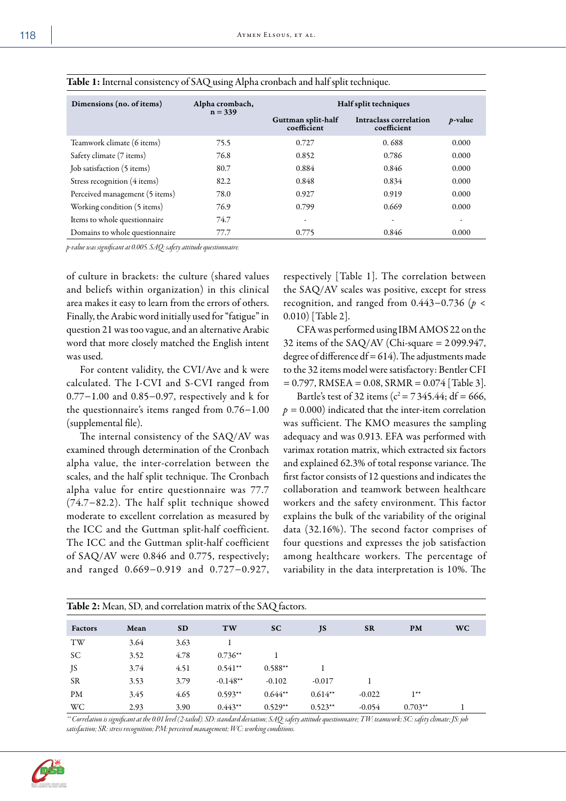| <b>Table 1.</b> Internal consistency of <i>31X</i> asing <i>f</i> upha crombach and han spile technique. |                              |                                   |                                       |            |  |  |  |  |  |  |
|----------------------------------------------------------------------------------------------------------|------------------------------|-----------------------------------|---------------------------------------|------------|--|--|--|--|--|--|
| Dimensions (no. of items)                                                                                | Alpha crombach,<br>$n = 339$ | Half split techniques             |                                       |            |  |  |  |  |  |  |
|                                                                                                          |                              | Guttman split-half<br>coefficient | Intraclass correlation<br>coefficient | $p$ -value |  |  |  |  |  |  |
| Teamwork climate (6 items)                                                                               | 75.5                         | 0.727                             | 0.688                                 | 0.000      |  |  |  |  |  |  |
| Safety climate (7 items)                                                                                 | 76.8                         | 0.852                             | 0.786                                 | 0.000      |  |  |  |  |  |  |
| Job satisfaction (5 items)                                                                               | 80.7                         | 0.884                             | 0.846                                 | 0.000      |  |  |  |  |  |  |
| Stress recognition (4 items)                                                                             | 82.2                         | 0.848                             | 0.834                                 | 0.000      |  |  |  |  |  |  |
| Perceived management (5 items)                                                                           | 78.0                         | 0.927                             | 0.919                                 | 0.000      |  |  |  |  |  |  |
| Working condition (5 items)                                                                              | 76.9                         | 0.799                             | 0.669                                 | 0.000      |  |  |  |  |  |  |
| Items to whole questionnaire                                                                             | 74.7                         | $\overline{\phantom{a}}$          |                                       | -          |  |  |  |  |  |  |
| Domains to whole questionnaire                                                                           | 77.7                         | 0.775                             | 0.846                                 | 0.000      |  |  |  |  |  |  |

Table 1: Internal consistency of SAQ using Alpha cronbach and half split technique.

*p-value was significant at 0.005. SAQ: safety attitude questionnaire.*

of culture in brackets: the culture (shared values and beliefs within organization) in this clinical area makes it easy to learn from the errors of others. Finally, the Arabic word initially used for "fatigue" in question 21 was too vague, and an alternative Arabic word that more closely matched the English intent was used.

For content validity, the CVI/Ave and k were calculated. The I-CVI and S-CVI ranged from 0.77−1.00 and 0.85−0.97, respectively and k for the questionnaire's items ranged from 0.76−1.00 (supplemental file).

The internal consistency of the SAQ/AV was examined through determination of the Cronbach alpha value, the inter-correlation between the scales, and the half split technique. The Cronbach alpha value for entire questionnaire was 77.7 (74.7−82.2). The half split technique showed moderate to excellent correlation as measured by the ICC and the Guttman split-half coefficient. The ICC and the Guttman split-half coefficient of SAQ/AV were 0.846 and 0.775, respectively; and ranged 0.669−0.919 and 0.727−0.927, respectively [Table 1]. The correlation between the SAQ/AV scales was positive, except for stress recognition, and ranged from 0.443−0.736 (*p* < 0.010) [Table 2].

CFA was performed using IBM AMOS 22 on the 32 items of the SAQ/AV (Chi-square = 2 099.947, degree of difference df =  $614$ ). The adjustments made to the 32 items model were satisfactory: Bentler CFI  $= 0.797$ , RMSEA = 0.08, SRMR = 0.074 [Table 3].

Bartle's test of 32 items ( $c^2 = 7345.44$ ; df = 666,  $p = 0.000$ ) indicated that the inter-item correlation was sufficient. The KMO measures the sampling adequacy and was 0.913. EFA was performed with varimax rotation matrix, which extracted six factors and explained 62.3% of total response variance. The first factor consists of 12 questions and indicates the collaboration and teamwork between healthcare workers and the safety environment. This factor explains the bulk of the variability of the original data (32.16%). The second factor comprises of four questions and expresses the job satisfaction among healthcare workers. The percentage of variability in the data interpretation is 10%. The

| Table 2: Mean, SD, and correlation matrix of the SAQ factors. |      |           |            |           |           |           |           |           |
|---------------------------------------------------------------|------|-----------|------------|-----------|-----------|-----------|-----------|-----------|
| <b>Factors</b>                                                | Mean | <b>SD</b> | <b>TW</b>  | <b>SC</b> | JS        | <b>SR</b> | <b>PM</b> | <b>WC</b> |
| TW                                                            | 3.64 | 3.63      |            |           |           |           |           |           |
| SC                                                            | 3.52 | 4.78      | $0.736**$  |           |           |           |           |           |
| JS                                                            | 3.74 | 4.51      | $0.541**$  | $0.588**$ |           |           |           |           |
| <b>SR</b>                                                     | 3.53 | 3.79      | $-0.148**$ | $-0.102$  | $-0.017$  |           |           |           |
| <b>PM</b>                                                     | 3.45 | 4.65      | $0.593**$  | $0.644**$ | $0.614**$ | $-0.022$  | $1***$    |           |
| WC                                                            | 2.93 | 3.90      | $0.443**$  | $0.529**$ | $0.523**$ | $-0.054$  | $0.703**$ |           |

*\*\* Correlation is significant at the 0.01 level (2-tailed). SD: standard deviation; SAQ: safety attitude questionnaire; TW: teamwork; SC: safety climate; JS: job satisfaction; SR: stress recognition; PM: perceived management; WC: working conditions.*

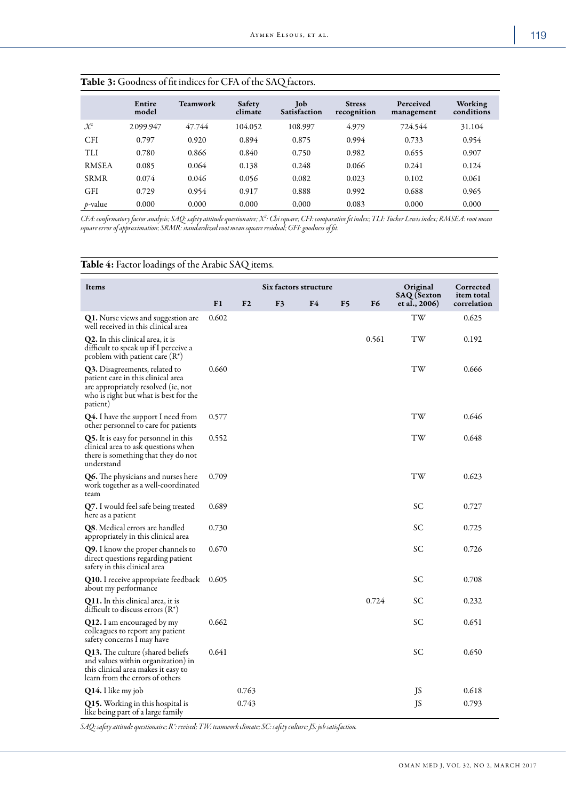| Table 3: Goodness of fit indices for CFA of the SAQ factors. |                 |                 |                   |                                   |                              |                         |                       |  |  |
|--------------------------------------------------------------|-----------------|-----------------|-------------------|-----------------------------------|------------------------------|-------------------------|-----------------------|--|--|
|                                                              | Entire<br>model | <b>Teamwork</b> | Safety<br>climate | <b>Job</b><br><b>Satisfaction</b> | <b>Stress</b><br>recognition | Perceived<br>management | Working<br>conditions |  |  |
| $\mathcal{X}^2$                                              | 2099.947        | 47.744          | 104.052           | 108.997                           | 4.979                        | 724.544                 | 31.104                |  |  |
| <b>CFI</b>                                                   | 0.797           | 0.920           | 0.894             | 0.875                             | 0.994                        | 0.733                   | 0.954                 |  |  |
| <b>TIJ</b>                                                   | 0.780           | 0.866           | 0.840             | 0.750                             | 0.982                        | 0.655                   | 0.907                 |  |  |
| <b>RMSEA</b>                                                 | 0.085           | 0.064           | 0.138             | 0.248                             | 0.066                        | 0.241                   | 0.124                 |  |  |
| <b>SRMR</b>                                                  | 0.074           | 0.046           | 0.056             | 0.082                             | 0.023                        | 0.102                   | 0.061                 |  |  |
| <b>GFI</b>                                                   | 0.729           | 0.954           | 0.917             | 0.888                             | 0.992                        | 0.688                   | 0.965                 |  |  |
| $p$ -value                                                   | 0.000           | 0.000           | 0.000             | 0.000                             | 0.083                        | 0.000                   | 0.000                 |  |  |

*CFA: confirmatory factor analysis; SAQ: safety attitude questionaire; X2 : Chi square; CFI: comparative fit index; TLI: Tucker Lewis index; RMSEA: root mean square error of approximation; SRMR: standardized root mean square residual; GFI: goodness of fit.*

|  |  | Table 4: Factor loadings of the Arabic SAQ items. |
|--|--|---------------------------------------------------|
|--|--|---------------------------------------------------|

| Items                                                                                                                                                           | Six factors structure |                |    |    |                |       | Original<br><b>SAQ</b> (Sexton | Corrected<br>item total |
|-----------------------------------------------------------------------------------------------------------------------------------------------------------------|-----------------------|----------------|----|----|----------------|-------|--------------------------------|-------------------------|
|                                                                                                                                                                 | F1                    | F <sub>2</sub> | F3 | F4 | F <sub>5</sub> | F6    | et al., 2006)                  | correlation             |
| <b>Q1.</b> Nurse views and suggestion are<br>well received in this clinical area                                                                                | 0.602                 |                |    |    |                |       | TW                             | 0.625                   |
| <b>Q2.</b> In this clinical area, it is<br>difficult to speak up if I perceive a<br>problem with patient care $(R^*)$                                           |                       |                |    |    |                | 0.561 | TW                             | 0.192                   |
| Q3. Disagreements, related to<br>patient care in this clinical area<br>are appropriately resolved (ie, not<br>who is right but what is best for the<br>patient) | 0.660                 |                |    |    |                |       | TW                             | 0.666                   |
| <b>Q4.</b> I have the support I need from<br>other personnel to care for patients                                                                               | 0.577                 |                |    |    |                |       | TW                             | 0.646                   |
| <b>Q5.</b> It is easy for personnel in this<br>clinical area to ask questions when<br>there is something that they do not<br>understand                         | 0.552                 |                |    |    |                |       | TW                             | 0.648                   |
| <b>Q6.</b> The physicians and nurses here<br>work together as a well-coordinated<br>team                                                                        | 0.709                 |                |    |    |                |       | TW                             | 0.623                   |
| <b>Q7.</b> I would feel safe being treated<br>here as a patient                                                                                                 | 0.689                 |                |    |    |                |       | SС                             | 0.727                   |
| Q8. Medical errors are handled<br>appropriately in this clinical area                                                                                           | 0.730                 |                |    |    |                |       | SС                             | 0.725                   |
| Q9. I know the proper channels to<br>direct questions regarding patient<br>safety in this clinical area                                                         | 0.670                 |                |    |    |                |       | SC                             | 0.726                   |
| <b>Q10.</b> I receive appropriate feedback<br>about my performance                                                                                              | 0.605                 |                |    |    |                |       | SС                             | 0.708                   |
| <b>Q11.</b> In this clinical area, it is<br>difficult to discuss errors $(R^*)$                                                                                 |                       |                |    |    |                | 0.724 | SС                             | 0.232                   |
| Q12. I am encouraged by my<br>colleagues to report any patient<br>safety concerns I may have                                                                    | 0.662                 |                |    |    |                |       | SC                             | 0.651                   |
| <b>Q13.</b> The culture (shared beliefs<br>and values within organization) in<br>this clinical area makes it easy to<br>learn from the errors of others         | 0.641                 |                |    |    |                |       | SC                             | 0.650                   |
| Q14. I like my job                                                                                                                                              |                       | 0.763          |    |    |                |       | JS                             | 0.618                   |
| <b>Q15.</b> Working in this hospital is<br>like being part of a large family                                                                                    |                       | 0.743          |    |    |                |       | JS                             | 0.793                   |

*SAQ: safety attitude questionaire; R\*: revised; TW: teamwork climate; SC: safety culture; JS: job satisfaction.*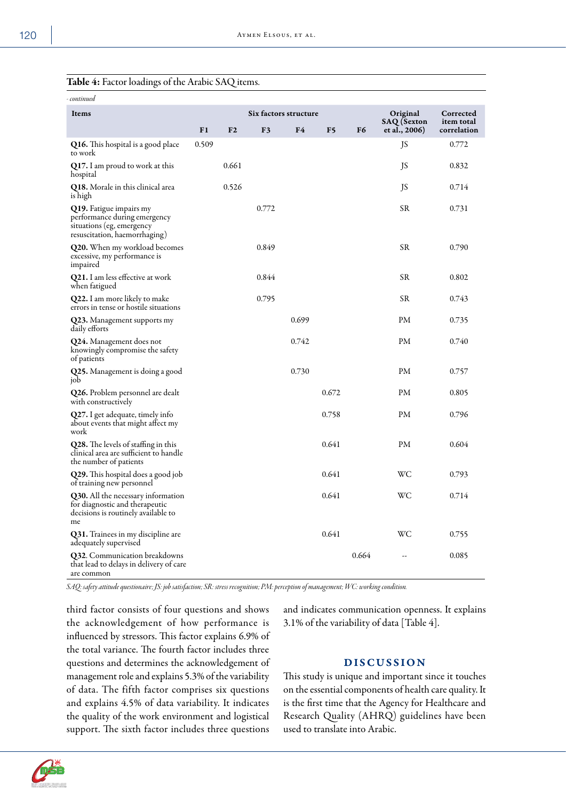# Table 4: Factor loadings of the Arabic SAQ items.

| continued                                                                                                                    |       |                |                       |       |       |       |                                |                         |
|------------------------------------------------------------------------------------------------------------------------------|-------|----------------|-----------------------|-------|-------|-------|--------------------------------|-------------------------|
| Items                                                                                                                        |       |                | Six factors structure |       |       |       | Original<br><b>SAQ</b> (Sexton | Corrected<br>item total |
|                                                                                                                              | F1    | F <sub>2</sub> | F <sub>3</sub>        | F4    | F5    | F6    | et al., 2006)                  | correlation             |
| <b>Q16.</b> This hospital is a good place<br>to work                                                                         | 0.509 |                |                       |       |       |       | JS                             | 0.772                   |
| <b>Q17.</b> I am proud to work at this<br>hospital                                                                           |       | 0.661          |                       |       |       |       | JS                             | 0.832                   |
| Q18. Morale in this clinical area<br>is high                                                                                 |       | 0.526          |                       |       |       |       | JS                             | 0.714                   |
| <b>Q19.</b> Fatigue impairs my<br>performance during emergency<br>situations (eg, emergency<br>resuscitation, haemorrhaging) |       |                | 0.772                 |       |       |       | SR                             | 0.731                   |
| <b>Q20.</b> When my workload becomes<br>excessive, my performance is<br>impaired                                             |       |                | 0.849                 |       |       |       | SR                             | 0.790                   |
| <b>Q21.</b> I am less effective at work<br>when fatigued                                                                     |       |                | 0.844                 |       |       |       | SR                             | 0.802                   |
| <b>Q22.</b> I am more likely to make<br>errors in tense or hostile situations                                                |       |                | 0.795                 |       |       |       | SR                             | 0.743                   |
| <b>Q23.</b> Management supports my<br>daily efforts                                                                          |       |                |                       | 0.699 |       |       | PM                             | 0.735                   |
| <b>Q24.</b> Management does not<br>knowingly compromise the safety<br>of patients                                            |       |                |                       | 0.742 |       |       | PM                             | 0.740                   |
| <b>Q25.</b> Management is doing a good<br>job                                                                                |       |                |                       | 0.730 |       |       | PM                             | 0.757                   |
| <b>Q26.</b> Problem personnel are dealt<br>with constructively                                                               |       |                |                       |       | 0.672 |       | PМ                             | 0.805                   |
| <b>Q27.</b> I get adequate, timely info<br>about events that might affect my<br>work                                         |       |                |                       |       | 0.758 |       | PM                             | 0.796                   |
| <b>Q28.</b> The levels of staffing in this<br>clinical area are sufficient to handle<br>the number of patients               |       |                |                       |       | 0.641 |       | PM                             | 0.604                   |
| <b>Q29.</b> This hospital does a good job<br>of training new personnel                                                       |       |                |                       |       | 0.641 |       | WC                             | 0.793                   |
| <b>Q30.</b> All the necessary information<br>for diagnostic and therapeutic<br>decisions is routinely available to<br>me     |       |                |                       |       | 0.641 |       | WС                             | 0.714                   |
| <b>Q31.</b> Trainees in my discipline are<br>adequately supervised                                                           |       |                |                       |       | 0.641 |       | WС                             | 0.755                   |
| <b>Q32.</b> Communication breakdowns<br>that lead to delays in delivery of care<br>are common                                |       |                |                       |       |       | 0.664 | --                             | 0.085                   |

*SAQ: safety attitude questionaire; JS: job satisfaction; SR: stress recognition; PM: perception of management; WC: working condition.*

third factor consists of four questions and shows the acknowledgement of how performance is influenced by stressors. This factor explains 6.9% of the total variance. The fourth factor includes three questions and determines the acknowledgement of management role and explains 5.3% of the variability of data. The fifth factor comprises six questions and explains 4.5% of data variability. It indicates the quality of the work environment and logistical support. The sixth factor includes three questions

and indicates communication openness. It explains 3.1% of the variability of data [Table 4].

# DISCUSSION

This study is unique and important since it touches on the essential components of health care quality. It is the first time that the Agency for Healthcare and Research Quality (AHRQ) guidelines have been used to translate into Arabic.

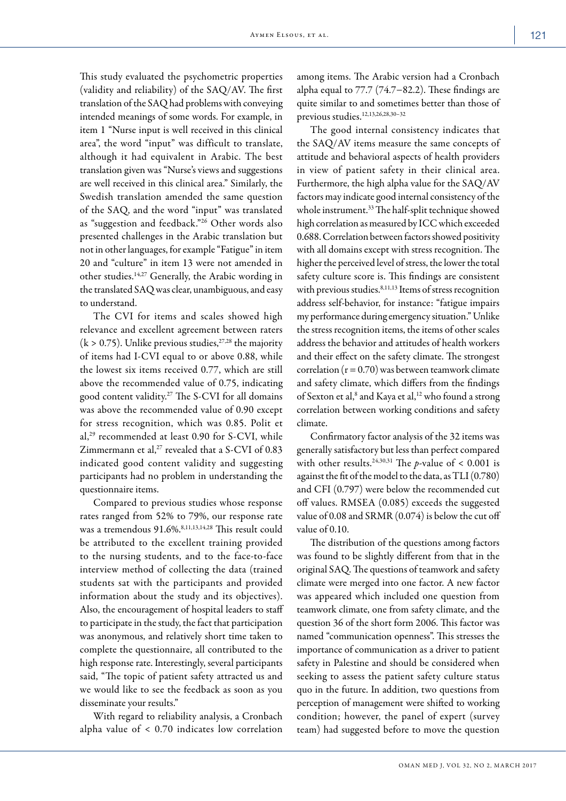This study evaluated the psychometric properties (validity and reliability) of the SAQ/AV. The first translation of the SAQ had problems with conveying intended meanings of some words. For example, in item 1 "Nurse input is well received in this clinical area", the word "input" was difficult to translate, although it had equivalent in Arabic. The best translation given was "Nurse's views and suggestions are well received in this clinical area." Similarly, the Swedish translation amended the same question of the SAQ, and the word "input" was translated as "suggestion and feedback."26 Other words also presented challenges in the Arabic translation but not in other languages, for example "Fatigue" in item 20 and "culture" in item 13 were not amended in other studies.14,27 Generally, the Arabic wording in the translated SAQ was clear, unambiguous, and easy to understand.

The CVI for items and scales showed high relevance and excellent agreement between raters ( $k > 0.75$ ). Unlike previous studies,<sup>27,28</sup> the majority of items had I-CVI equal to or above 0.88, while the lowest six items received 0.77, which are still above the recommended value of 0.75, indicating good content validity.27 The S-CVI for all domains was above the recommended value of 0.90 except for stress recognition, which was 0.85. Polit et al,<sup>29</sup> recommended at least 0.90 for S-CVI, while Zimmermann et al, $^{27}$  revealed that a S-CVI of 0.83 indicated good content validity and suggesting participants had no problem in understanding the questionnaire items.

Compared to previous studies whose response rates ranged from 52% to 79%, our response rate was a tremendous 91.6%.<sup>8,11,13,14,28</sup> This result could be attributed to the excellent training provided to the nursing students, and to the face-to-face interview method of collecting the data (trained students sat with the participants and provided information about the study and its objectives). Also, the encouragement of hospital leaders to staff to participate in the study, the fact that participation was anonymous, and relatively short time taken to complete the questionnaire, all contributed to the high response rate. Interestingly, several participants said, "The topic of patient safety attracted us and we would like to see the feedback as soon as you disseminate your results."

With regard to reliability analysis, a Cronbach alpha value of < 0.70 indicates low correlation

among items. The Arabic version had a Cronbach alpha equal to 77.7 (74.7−82.2). These findings are quite similar to and sometimes better than those of previous studies.12,13,26,28,30–32

The good internal consistency indicates that the SAQ/AV items measure the same concepts of attitude and behavioral aspects of health providers in view of patient safety in their clinical area. Furthermore, the high alpha value for the SAQ/AV factors may indicate good internal consistency of the whole instrument.<sup>33</sup> The half-split technique showed high correlation as measured by ICC which exceeded 0.688. Correlation between factors showed positivity with all domains except with stress recognition. The higher the perceived level of stress, the lower the total safety culture score is. This findings are consistent with previous studies.<sup>8,11,13</sup> Items of stress recognition address self-behavior, for instance: "fatigue impairs my performance during emergency situation." Unlike the stress recognition items, the items of other scales address the behavior and attitudes of health workers and their effect on the safety climate. The strongest correlation ( $r = 0.70$ ) was between teamwork climate and safety climate, which differs from the findings of Sexton et al,<sup>8</sup> and Kaya et al,<sup>12</sup> who found a strong correlation between working conditions and safety climate.

Confirmatory factor analysis of the 32 items was generally satisfactory but less than perfect compared with other results.<sup>24,30,31</sup> The *p*-value of < 0.001 is against the fit of the model to the data, as TLI (0.780) and CFI (0.797) were below the recommended cut off values. RMSEA (0.085) exceeds the suggested value of 0.08 and SRMR (0.074) is below the cut off value of 0.10.

The distribution of the questions among factors was found to be slightly different from that in the original SAQ. The questions of teamwork and safety climate were merged into one factor. A new factor was appeared which included one question from teamwork climate, one from safety climate, and the question 36 of the short form 2006. This factor was named "communication openness". This stresses the importance of communication as a driver to patient safety in Palestine and should be considered when seeking to assess the patient safety culture status quo in the future. In addition, two questions from perception of management were shifted to working condition; however, the panel of expert (survey team) had suggested before to move the question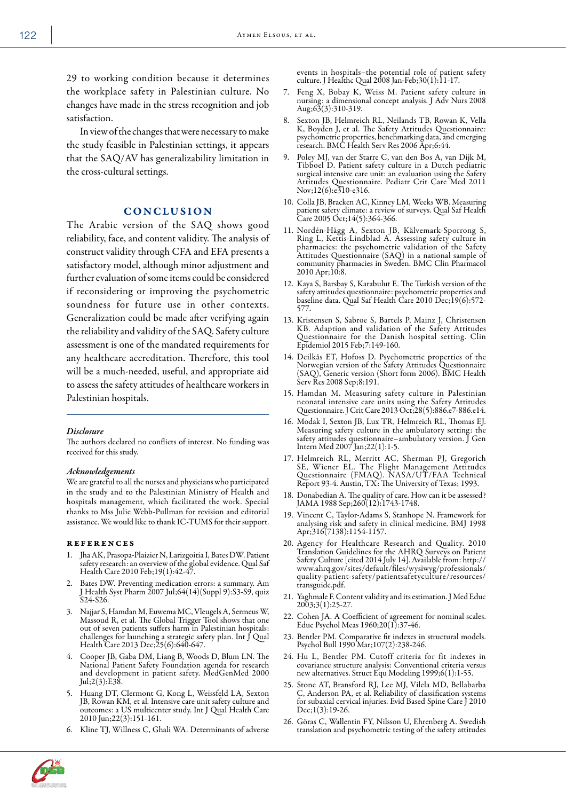29 to working condition because it determines the workplace safety in Palestinian culture. No changes have made in the stress recognition and job satisfaction.

In view of the changes that were necessary to make the study feasible in Palestinian settings, it appears that the SAQ/AV has generalizability limitation in the cross-cultural settings.

# CONCLUSION

The Arabic version of the SAQ shows good reliability, face, and content validity. The analysis of construct validity through CFA and EFA presents a satisfactory model, although minor adjustment and further evaluation of some items could be considered if reconsidering or improving the psychometric soundness for future use in other contexts. Generalization could be made after verifying again the reliability and validity of the SAQ. Safety culture assessment is one of the mandated requirements for any healthcare accreditation. Therefore, this tool will be a much-needed, useful, and appropriate aid to assess the safety attitudes of healthcare workers in Palestinian hospitals.

#### *Disclosure*

The authors declared no conflicts of interest. No funding was received for this study.

### *Acknowledgements*

We are grateful to all the nurses and physicians who participated in the study and to the Palestinian Ministry of Health and hospitals management, which facilitated the work. Special thanks to Mss Julie Webb-Pullman for revision and editorial assistance. We would like to thank IC-TUMS for their support.

#### **REFERENCES**

- Jha AK, Prasopa-Plaizier N, Larizgoitia I, Bates DW. Patient safety research: an overview of the global evidence. Qual Saf Health Care 2010 Feb;19(1):42-47.
- 2. Bates DW. Preventing medication errors: a summary. Am J Health Syst Pharm 2007 Jul;64(14)(Suppl 9):S3-S9, quiz S24-S26.
- 3. Najjar S, Hamdan M, Euwema MC, Vleugels A, Sermeus W, Massoud R, et al. The Global Trigger Tool shows that one out of seven patients suffers harm in Palestinian hospitals: challenges for launching a strategic safety plan. Int J Qual Health Care 2013 Dec;25(6):640-647.
- 4. Cooper JB, Gaba DM, Liang B, Woods D, Blum LN. The National Patient Safety Foundation agenda for research and development in patient safety. MedGenMed 2000 Jul;2(3):E38.
- 5. Huang DT, Clermont G, Kong L, Weissfeld LA, Sexton JB, Rowan KM, et al. Intensive care unit safety culture and outcomes: a US multicenter study. Int J Qual Health Care 2010 Jun;22(3):151-161.
- 6. Kline TJ, Willness C, Ghali WA. Determinants of adverse

events in hospitals–the potential role of patient safety culture. J Healthc Qual 2008 Jan-Feb;30(1):11-17.

- 7. Feng X, Bobay K, Weiss M. Patient safety culture in nursing: a dimensional concept analysis. J Adv Nurs 2008 Aug;63(3):310-319.
- 8. Sexton JB, Helmreich RL, Neilands TB, Rowan K, Vella K, Boyden J, et al. The Safety Attitudes Questionnaire: psychometric properties, benchmarking data, and emerging research. BMC Health Serv Res 2006 Apr;6:44.
- 9. Poley MJ, van der Starre C, van den Bos A, van Dijk M, Tibboel D. Patient safety culture in a Dutch pediatric surgical intensive care unit: an evaluation using the Safety Attitudes Questionnaire. Pediatr Crit Care Med 2011 Nov;12(6):e310-e316.
- 10. Colla JB, Bracken AC, Kinney LM, Weeks WB. Measuring patient safety climate: a review of surveys. Qual Saf Health Care 2005 Oct;14(5):364-366.
- 11. Nordén-Hägg A, Sexton JB, Kälvemark-Sporrong S, Ring L, Kettis-Lindblad A. Assessing safety culture in pharmacies: the psychometric validation of the Safety Attitudes Questionnaire (SAQ) in a national sample of community pharmacies in Sweden. BMC Clin Pharmacol 2010 Apr;10:8.
- 12. Kaya S, Barsbay S, Karabulut E. The Turkish version of the safety attitudes questionnaire: psychometric properties and baseline data. Qual Saf Health Care 2010 Dec;19(6):572- 577.
- 13. Kristensen S, Sabroe S, Bartels P, Mainz J, Christensen KB. Adaption and validation of the Safety Attitudes Questionnaire for the Danish hospital setting. Clin Epidemiol 2015 Feb;7:149-160.
- 14. Deilkås ET, Hofoss D. Psychometric properties of the Norwegian version of the Safety Attitudes Questionnaire (SAQ), Generic version (Short form 2006). BMC Health Serv Res 2008 Sep;8:191.
- 15. Hamdan M. Measuring safety culture in Palestinian neonatal intensive care units using the Safety Attitudes Questionnaire. J Crit Care 2013 Oct;28(5):886.e7-886.e14.
- 16. Modak I, Sexton JB, Lux TR, Helmreich RL, Thomas EJ. Measuring safety culture in the ambulatory setting: the safety attitudes questionnaire–ambulatory version. J Gen Intern Med 2007 Jan;22(1):1-5.
- 17. Helmreich RL, Merritt AC, Sherman PJ, Gregorich SE, Wiener EL. The Flight Management Attitudes Questionnaire (FMAQ). NASA/UT/FAA Technical Report 93-4. Austin, TX: The University of Texas; 1993.
- 18. Donabedian A. The quality of care. How can it be assessed? JAMA 1988 Sep;260(12):1743-1748.
- 19. Vincent C, Taylor-Adams S, Stanhope N. Framework for analysing risk and safety in clinical medicine. BMJ 1998 Apr;316(7138):1154-1157.
- 20. Agency for Healthcare Research and Quality. 2010 Translation Guidelines for the AHRQ Surveys on Patient Safety Culture [cited 2014 July 14]. Available from: http:// www.ahrq.gov/sites/default/files/wysiwyg/professionals/ quality-patient-safety/patientsafetyculture/resources/ transguide.pdf.
- 21. Yaghmale F. Content validity and its estimation. J Med Educ 2003;3(1):25-27.
- 22. Cohen JA. A Coefficient of agreement for nominal scales. Educ Psychol Meas 1960;20(1):37-46.
- 23. Bentler PM. Comparative fit indexes in structural models. Psychol Bull 1990 Mar;107(2):238-246.
- 24. Hu L, Bentler PM. Cutoff criteria for fit indexes in covariance structure analysis: Conventional criteria versus new alternatives. Struct Equ Modeling 1999;6(1):1-55.
- 25. Stone AT, Bransford RJ, Lee MJ, Vilela MD, Bellabarba C, Anderson PA, et al. Reliability of classification systems for subaxial cervical injuries. Evid Based Spine Care J 2010 Dec;1(3):19-26.
- 26. Göras C, Wallentin FY, Nilsson U, Ehrenberg A. Swedish translation and psychometric testing of the safety attitudes